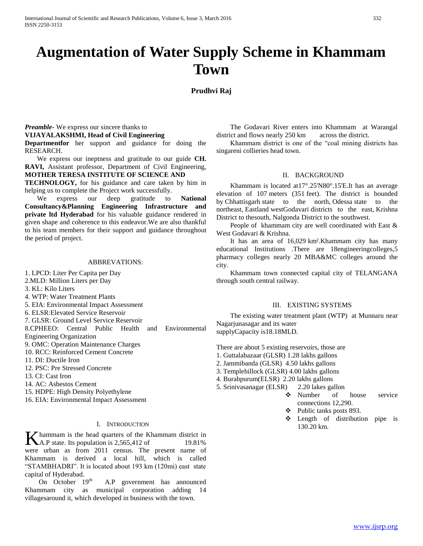# **Augmentation of Water Supply Scheme in Khammam Town**

# **Prudhvi Raj**

# *Preamble-* We express our sincere thanks to **VIJAYALAKSHMI, Head of Civil Engineering**

**Departmentfor** her support and guidance for doing the RESEARCH.

 We express our ineptness and gratitude to our guide **CH. RAVI,** Assistant professor, Department of Civil Engineering, **MOTHER TERESA INSTITUTE OF SCIENCE AND**

**TECHNOLOGY,** for his guidance and care taken by him in helping us to complete the Project work successfully.

 We express our deep gratitude to **National Consultancy&Planning Engineering Infrastructure and private ltd Hyderabad** for his valuable guidance rendered in given shape and coherence to this endeavor.We are also thankful to his team members for their support and guidance throughout the period of project.

## ABBREVATIONS:

1. LPCD: Liter Per Capita per Day

- 2.MLD: Million Liters per Day
- 3. KL: Kilo Liters
- 4. WTP: Water Treatment Plants
- 5. EIA: Environmental Impact Assessment
- 6. ELSR:Elevated Service Reservoir
- 7. GLSR: Ground Level Service Reservoir
- 8.CPHEEO: Central Public Health and Environmental
- Engineering Organization 9. OMC: Operation Maintenance Charges
- 10. RCC: Reinforced Cement Concrete
- 11. DI: Ductile Iron
- 12. PSC: Pre Stressed Concrete
- 13. CI: Cast Iron
- 14. AC: Asbestos Cement
- 15. HDPE: High Density Polyethylene
- 16. EIA: Environmental Impact Assessment

#### I. INTRODUCTION

hammam is the head quarters of the Khammam district in **K** hammam is the head quarters of the Khammam district in<br>A.P state. Its population is 2,565,412 of 19.81% were urban as from 2011 census. The present name of Khammam is derived a local hill, which is called "STAMBHADRI". It is located about 193 km (120mi) east state capital of Hyderabad.

On October 19<sup>th</sup> A.P government has announced Khammam city as municipal corporation adding 14 villagesaround it, which developed in business with the town.

 The Godavari River enters into Khammam at Warangal district and flows nearly 250 km across the district.

 Khammam district is one of the "coal mining districts has singareni collieries head town.

## II. BACKGROUND

 Khammam is located at17°.25'N80°.15'E.It has an average elevation of 107 meters (351 feet). The district is bounded by Chhattisgarh state to the north, Odessa state to the northeast, Eastland westGodavari districts to the east, Krishna District to thesouth, Nalgonda District to the southwest.

 People of khammam city are well coordinated with East & West Godavari & Krishna.

 It has an area of 16,029 km².Khammam city has many educational Institutions .There are 18engineeringcolleges,5 pharmacy colleges nearly 20 MBA&MC colleges around the city.

 Khammam town connected capital city of TELANGANA through south central railway.

## III. EXISTING SYSTEMS

 The existing water treatment plant (WTP) at Munnaru near Nagarjunasagar and its water supplyCapacity is18.18MLD.

There are about 5 existing reservoirs, those are

- 1. Guttalabazaar (GLSR) 1.28 lakhs gallons
- 2. Jammibanda (GLSR) 4.50 lakhs gallons
- 3. Templehillock (GLSR) 4.00 lakhs gallons
- 4. Burahpurum(ELSR) 2.20 lakhs gallons
- 5. Srinivasanagar (ELSR) 2.20 lakes gallon
	- Number of house service connections 12,290.
	- Public tanks posts 893.
	- $\div$  Length of distribution pipe is 130.20 km.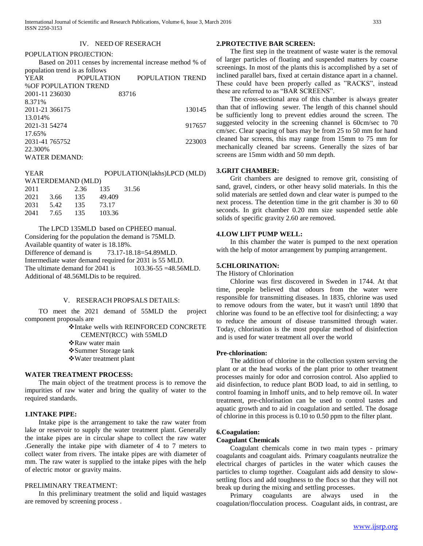## IV. NEED OF RESERACH

#### POPULATION PROJECTION:

 Based on 2011 censes by incremental increase method % of population trend is as follows

| YEAR                        | POPULATION | POPULATION TREND |
|-----------------------------|------------|------------------|
| <b>%OF POPULATION TREND</b> |            |                  |
| 2001-11 236030              | 83716      |                  |
| 8.371%                      |            |                  |
| 2011-21 366175              |            | 130145           |
| 13.014%                     |            |                  |
| 2021-31 54274               |            | 917657           |
| 17.65%                      |            |                  |
| 2031-41 765752              |            | 223003           |
| 22.300\%                    |            |                  |
| <b>WATER DEMAND:</b>        |            |                  |
|                             |            |                  |

| YEAR |           |                   |        | POPULATION(lakhs)LPCD (MLD) |
|------|-----------|-------------------|--------|-----------------------------|
|      |           | WATERDEMAND (MLD) |        |                             |
| 2011 |           | 2.36              | 135    | 31.56                       |
| 2021 | 3.66      | - 135             | 49.409 |                             |
| 2031 | 5.42      | - 135             | 73.17  |                             |
|      | 2041 7.65 | - 135             | 103.36 |                             |
|      |           |                   |        |                             |

 The LPCD 135MLD based on CPHEEO manual. Considering for the population the demand is 75MLD. Available quantity of water is 18.18%. Difference of demand is  $73.17-18.18=54.89$  MLD. Intermediate water demand required for 2031 is 55 MLD. The ultimate demand for  $2041$  is  $103.36-55 = 48.56$  MLD. Additional of 48.56MLDis to be required.

## V. RESERACH PROPSALS DETAILS:

 TO meet the 2021 demand of 55MLD the project component proposals are

> Intake wells with REINFORCED CONCRETE CEMENT(RCC) with 55MLD

Raw water main

- Summer Storage tank
- Water treatment plant

#### **WATER TREATMENT PROCESS:**

 The main object of the treatment process is to remove the impurities of raw water and bring the quality of water to the required standards.

#### **1.INTAKE PIPE:**

 Intake pipe is the arrangement to take the raw water from lake or reservoir to supply the water treatment plant. Generally the intake pipes are in circular shape to collect the raw water .Generally the intake pipe with diameter of 4 to 7 meters to collect water from rivers. The intake pipes are with diameter of mm. The raw water is supplied to the intake pipes with the help of electric motor or gravity mains.

## PRELIMINARY TREATMENT:

 In this preliminary treatment the solid and liquid wastages are removed by screening process .

#### **2.PROTECTIVE BAR SCREEN:**

 The first step in the treatment of waste water is the removal of larger particles of floating and suspended matters by coarse screenings. In most of the plants this is accomplished by a set of inclined parallel bars, fixed at certain distance apart in a channel. These could have been properly called as "RACKS", instead these are referred to as "BAR SCREENS".

 The cross-sectional area of this chamber is always greater than that of inflowing sewer. The length of this channel should be sufficiently long to prevent eddies around the screen. The suggested velocity in the screening channel is 60cm/sec to 70 cm/sec. Clear spacing of bars may be from 25 to 50 mm for hand cleaned bar screens, this may range from 15mm to 75 mm for mechanically cleaned bar screens. Generally the sizes of bar screens are 15mm width and 50 mm depth.

## **3.GRIT CHAMBER:**

 Grit chambers are designed to remove grit, consisting of sand, gravel, cinders, or other heavy solid materials. In this the solid materials are settled down and clear water is pumped to the next process. The detention time in the grit chamber is 30 to 60 seconds. In grit chamber 0.20 mm size suspended settle able solids of specific gravity 2.60 are removed.

#### **4.LOW LIFT PUMP WELL:**

 In this chamber the water is pumped to the next operation with the help of motor arrangement by pumping arrangement.

#### **5.CHLORINATION:**

The History of Chlorination

 Chlorine was first discovered in Sweden in 1744. At that time, people believed that odours from the water were responsible for transmitting diseases. In 1835, chlorine was used to remove odours from the water, but it wasn't until 1890 that chlorine was found to be an effective tool for disinfecting; a way to reduce the amount of disease transmitted through water. Today, chlorination is the most popular method of disinfection and is used for water treatment all over the world

#### **Pre-chlorination:**

 The addition of chlorine in the collection system serving the plant or at the head works of the plant prior to other treatment processes mainly for odor and corrosion control. Also applied to aid disinfection, to reduce plant BOD load, to aid in settling, to control foaming in Imhoff units, and to help remove oil. In water treatment, pre-chlorination can be used to control tastes and aquatic growth and to aid in coagulation and settled. The dosage of chlorine in this process is 0.10 to 0.50 ppm to the filter plant.

# **6.Coagulation:**

## **Coagulant Chemicals**

 Coagulant chemicals come in two main types - primary coagulants and coagulant aids. Primary coagulants neutralize the electrical charges of particles in the water which causes the particles to clump together. Coagulant aids add density to slowsettling flocs and add toughness to the flocs so that they will not break up during the mixing and settling processes.

 Primary coagulants are always used in the coagulation/flocculation process. Coagulant aids, in contrast, are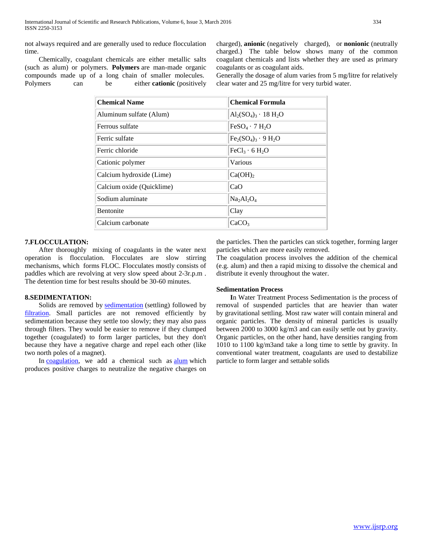not always required and are generally used to reduce flocculation time.

 Chemically, coagulant chemicals are either metallic salts (such as alum) or polymers. **Polymers** are man-made organic compounds made up of a long chain of smaller molecules. Polymers can be either **cationic** (positively charged), **anionic** (negatively charged), or **nonionic** (neutrally charged.) The table below shows many of the common coagulant chemicals and lists whether they are used as primary coagulants or as coagulant aids.

Generally the dosage of alum varies from 5 mg/litre for relatively clear water and 25 mg/litre for very turbid water.

| <b>Chemical Name</b>      | <b>Chemical Formula</b>                |
|---------------------------|----------------------------------------|
| Aluminum sulfate (Alum)   | $Al_2(SO_4)_3 \cdot 18 H_2O$           |
| Ferrous sulfate           | $FeSO4 \cdot 7 H2O$                    |
| Ferric sulfate            | $Fe2(SO4)3 \cdot 9 H2O$                |
| Ferric chloride           | FeCl <sub>3</sub> · 6 H <sub>2</sub> O |
| Cationic polymer          | Various                                |
| Calcium hydroxide (Lime)  | Ca(OH) <sub>2</sub>                    |
| Calcium oxide (Quicklime) | CaO                                    |
| Sodium aluminate          | $Na2Al2O4$                             |
| <b>Bentonite</b>          | Clay                                   |
| Calcium carbonate         | CaCO <sub>3</sub>                      |

# **7.FLOCCULATION:**

 After thoroughly mixing of coagulants in the water next operation is flocculation. Flocculates are slow stirring mechanisms, which forms FLOC. Flocculates mostly consists of paddles which are revolving at very slow speed about 2-3r.p.m . The detention time for best results should be 30-60 minutes.

## **8.SEDIMENTATION:**

Solids are removed by **[sedimentation](http://techalive.mtu.edu/meec/module03/Glossary.htm#sedimentation)** (settling) followed by [filtration.](http://techalive.mtu.edu/meec/module03/Glossary.htm#filtration) Small particles are not removed efficiently by sedimentation because they settle too slowly; they may also pass through filters. They would be easier to remove if they clumped together (coagulated) to form larger particles, but they don't because they have a negative charge and repel each other (like two north poles of a magnet).

In [coagulation,](http://techalive.mtu.edu/meec/module03/Glossary.htm#coagulation) we add a chemical such as [alum](http://techalive.mtu.edu/meec/module03/Glossary.htm#alum) which produces positive charges to neutralize the negative charges on

the particles. Then the particles can stick together, forming larger particles which are more easily removed.

The coagulation process involves the addition of the chemical (e.g. alum) and then a rapid mixing to dissolve the chemical and distribute it evenly throughout the water.

## **Sedimentation Process**

 **I**n Water Treatment Process Sedimentation is the process of removal of suspended particles that are heavier than water by gravitational settling. Most raw water will contain mineral and organic particles. The density of mineral particles is usually between 2000 to 3000 kg/m3 and can easily settle out by gravity. Organic particles, on the other hand, have densities ranging from 1010 to 1100 kg/m3and take a long time to settle by gravity. In conventional water treatment, coagulants are used to destabilize particle to form larger and settable solids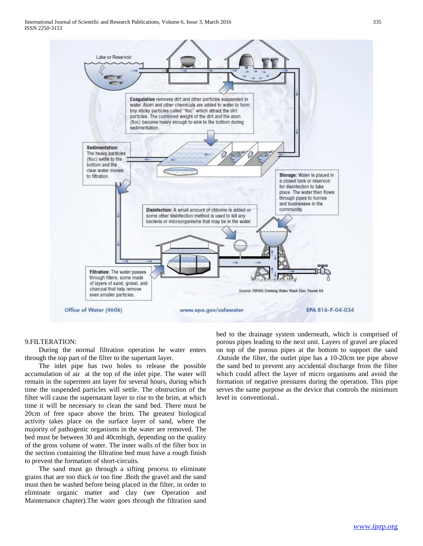International Journal of Scientific and Research Publications, Volume 6, Issue 3, March 2016 335 ISSN 2250-3153



#### 9.FILTERATION:

 During the normal filtration operation he water enters through the top part of the filter to the supertant layer.

 The inlet pipe has two holes to release the possible accumulation of air at the top of the inlet pipe. The water will remain in the supermen ant layer for several hours, during which time the suspended particles will settle. The obstruction of the filter will cause the supernatant layer to rise to the brim, at which time it will be necessary to clean the sand bed. There must be 20cm of free space above the brim. The greatest biological activity takes place on the surface layer of sand, where the majority of pathogenic organisms in the water are removed. The bed must be between 30 and 40cmhigh, depending on the quality of the gross volume of water. The inner walls of the filter box in the section containing the filtration bed must have a rough finish to prevent the formation of short-circuits.

 The sand must go through a sifting process to eliminate grains that are too thick or too fine .Both the gravel and the sand must then be washed before being placed in the filter, in order to eliminate organic matter and clay (see Operation and Maintenance chapter).The water goes through the filtration sand bed to the drainage system underneath, which is comprised of porous pipes leading to the next unit. Layers of gravel are placed on top of the porous pipes at the bottom to support the sand .Outside the filter, the outlet pipe has a 10-20cm tee pipe above the sand bed to prevent any accidental discharge from the filter which could affect the layer of micro organisms and avoid the formation of negative pressures during the operation. This pipe serves the same purpose as the device that controls the minimum level in conventional..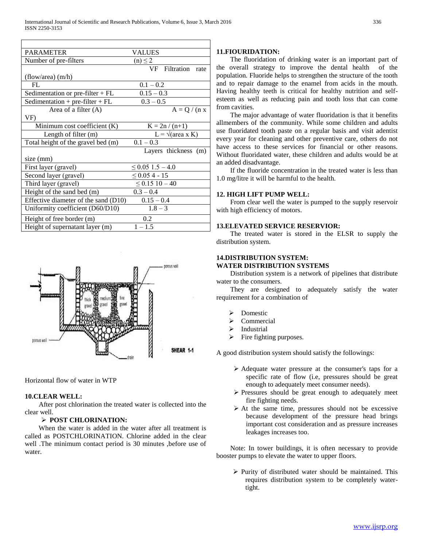| <b>PARAMETER</b>                     | VALUES                       |
|--------------------------------------|------------------------------|
| Number of pre-filters                | $(n) \leq 2$                 |
|                                      | VF Filtration<br>rate        |
| (flow/area) $(m/h)$                  |                              |
| FL                                   | $0.1 - 0.2$                  |
| Sedimentation or pre-filter $+FL$    | $0.15 - 0.3$                 |
| Sedimentation + pre-filter + $FL$    | $0.3 - 0.5$                  |
| Area of a filter $(A)$               | $A = Q / (n x)$              |
| VF)                                  |                              |
| Minimum cost coefficient (K)         | $K = 2n/(n+1)$               |
| Length of filter (m)                 | $L = \sqrt{(area \times K)}$ |
| Total height of the gravel bed (m)   | $0.1 - 0.3$                  |
|                                      | Layers thickness (m)         |
| size (mm)                            |                              |
| First layer (gravel)                 | $\leq$ 0.05 1.5 – 4.0        |
| Second layer (gravel)                | $\leq 0.054 - 15$            |
| Third layer (gravel)                 | $\leq 0.15$ 10 - 40          |
| Height of the sand bed (m)           | $0.3 - 0.4$                  |
| Effective diameter of the sand (D10) | $0.15 - 0.4$                 |
| Uniformity coefficient (D60/D10)     | $1.8 - 3$                    |
| Height of free border (m)            | 0.2                          |
| Height of supernatant layer (m)      | $1 - 1.5$                    |



Horizontal flow of water in WTP

## **10.CLEAR WELL:**

 After post chlorination the treated water is collected into the clear well.

## **POST CHLORINATION:**

 When the water is added in the water after all treatment is called as POSTCHLORINATION. Chlorine added in the clear well .The minimum contact period is 30 minutes ,before use of water.

# **11.FIOURIDATION:**

 The fluoridation of drinking water is an important part of the overall strategy to improve the dental health of the population. Fluoride helps to strengthen the structure of the tooth and to repair damage to the enamel from acids in the mouth. Having healthy teeth is critical for healthy nutrition and selfesteem as well as reducing pain and tooth loss that can come from cavities.

 The major advantage of water fluoridation is that it benefits allmembers of the community. While some children and adults use fluoridated tooth paste on a regular basis and visit adentist every year for cleaning and other preventive care, others do not have access to these services for financial or other reasons. Without fluoridated water, these children and adults would be at an added disadvantage.

 If the fluoride concentration in the treated water is less than 1.0 mg/litre it will be harmful to the health.

# **12. HIGH LIFT PUMP WELL:**

 From clear well the water is pumped to the supply reservoir with high efficiency of motors.

## **13.ELEVATED SERVICE RESERVIOR:**

 The treated water is stored in the ELSR to supply the distribution system.

# **14.DISTRIBUTION SYSTEM:**

# **WATER DISTRIBUTION SYSTEMS**

 Distribution system is a network of pipelines that distribute water to the consumers.

 They are designed to adequately satisfy the water requirement for a combination of

- Domestic
- Commercial
- Industrial
- Fire fighting purposes.

A good distribution system should satisfy the followings:

- Adequate water pressure at the consumer's taps for a specific rate of flow (i.e, pressures should be great enough to adequately meet consumer needs).
- $\triangleright$  Pressures should be great enough to adequately meet fire fighting needs.
- $\triangleright$  At the same time, pressures should not be excessive because development of the pressure head brings important cost consideration and as pressure increases leakages increases too.

 Note: In tower buildings, it is often necessary to provide booster pumps to elevate the water to upper floors.

 $\triangleright$  Purity of distributed water should be maintained. This requires distribution system to be completely watertight.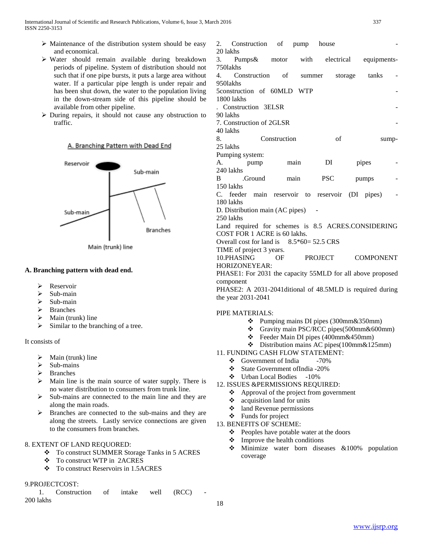- $\triangleright$  Maintenance of the distribution system should be easy and economical.
- $\triangleright$  Water should remain available during breakdown periods of pipeline. System of distribution should not such that if one pipe bursts, it puts a large area without water. If a particular pipe length is under repair and has been shut down, the water to the population living in the down-stream side of this pipeline should be available from other pipeline.
- During repairs, it should not cause any obstruction to traffic.

## A. Branching Pattern with Dead End



Main (trunk) line

## **A. Branching pattern with dead end.**

- **EXP** Reservoir
- $\triangleright$  Sub-main
- $\triangleright$  Sub-main
- > Branches
- $\triangleright$  Main (trunk) line
- $\triangleright$  Similar to the branching of a tree.

#### It consists of

- $\triangleright$  Main (trunk) line
- $\triangleright$  Sub-mains
- $\triangleright$  Branches
- $\triangleright$  Main line is the main source of water supply. There is no water distribution to consumers from trunk line.
- $\triangleright$  Sub-mains are connected to the main line and they are along the main roads.
- > Branches are connected to the sub-mains and they are along the streets. Lastly service connections are given to the consumers from branches.

## 8. EXTENT OF LAND REQUORED:

- To construct SUMMER Storage Tanks in 5 ACRES
- To construct WTP in 2ACRES
- To construct Reservoirs in 1.5ACRES

## 9.PROJECTCOST:

1. Construction of intake well (RCC) 200 lakhs

| 2.<br>Construction of<br>20 lakhs                                                | pump                                     | house      |                  |             |
|----------------------------------------------------------------------------------|------------------------------------------|------------|------------------|-------------|
| 3.<br>Pumps& motor                                                               | with                                     | electrical |                  | equipments- |
| 7501akhs                                                                         |                                          |            |                  |             |
| 4.<br>Construction of                                                            |                                          | summer     | storage<br>tanks |             |
| 9501akhs                                                                         |                                          |            |                  |             |
| 5construction of 60MLD WTP<br>1800 lakhs                                         |                                          |            |                  |             |
| Construction 3ELSR<br>90 lakhs                                                   |                                          |            |                  |             |
| 7. Construction of 2GLSR                                                         |                                          |            |                  |             |
| 40 lakhs                                                                         |                                          |            |                  |             |
| 8.                                                                               | Construction                             | of         |                  | sump-       |
| 25 lakhs                                                                         |                                          |            |                  |             |
| Pumping system:                                                                  |                                          |            |                  |             |
| А.<br>pump                                                                       | main                                     | DI         | pipes            |             |
| 240 lakhs<br>.Ground<br>B.                                                       | main                                     | <b>PSC</b> | pumps            |             |
| 150 lakhs                                                                        |                                          |            |                  |             |
| C. feeder main reservoir to reservoir (DI pipes)                                 |                                          |            |                  |             |
| 180 lakhs                                                                        |                                          |            |                  |             |
| D. Distribution main (AC pipes)                                                  |                                          |            |                  |             |
| 250 lakhs                                                                        |                                          |            |                  |             |
| Land required for schemes is 8.5 ACRES.CONSIDERING                               |                                          |            |                  |             |
| COST FOR 1 ACRE is 60 lakhs.                                                     |                                          |            |                  |             |
| Overall cost for land is $8.5*60 = 52.5 \text{ CRS}$<br>TIME of project 3 years. |                                          |            |                  |             |
| 10.PHASING                                                                       | OF                                       | PROJECT    | COMPONENT        |             |
| HORIZONEYEAR:                                                                    |                                          |            |                  |             |
| PHASE1: For 2031 the capacity 55MLD for all above proposed                       |                                          |            |                  |             |
| component                                                                        |                                          |            |                  |             |
| PHASE2: A 2031-2041ditional of 48.5MLD is required during                        |                                          |            |                  |             |
| the year 2031-2041                                                               |                                          |            |                  |             |
|                                                                                  |                                          |            |                  |             |
| PIPE MATERIALS:<br>❖                                                             | Pumping mains DI pipes (300mm&350mm)     |            |                  |             |
| ❖                                                                                | Gravity main PSC/RCC pipes(500mm&600mm)  |            |                  |             |
| ÷                                                                                | Feeder Main DI pipes (400mm&450mm)       |            |                  |             |
| ❖                                                                                | Distribution mains AC pipes(100mm&125mm) |            |                  |             |
| 11. FUNDING CASH FLOW STATEMENT:                                                 |                                          |            |                  |             |
| Government of India<br>$-70%$<br>❖                                               |                                          |            |                  |             |
| ❖<br>State Government of India - 20%                                             |                                          |            |                  |             |
| ❖ Urban Local Bodies -10%<br>12. ISSUES &PERMISSIONS REQUIRED:                   |                                          |            |                  |             |
| Approval of the project from government<br>❖                                     |                                          |            |                  |             |
|                                                                                  |                                          |            |                  |             |

- $\triangleleft$  acquisition land for units
- $\triangleleft$  land Revenue permissions
- $\triangleleft$  Funds for project
- 13. BENEFITS OF SCHEME:
	- Peoples have potable water at the doors
	- $\triangle$  Improve the health conditions
	- Minimize water born diseases &100% population coverage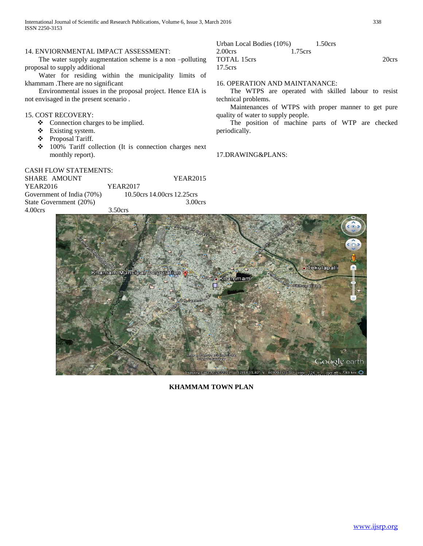International Journal of Scientific and Research Publications, Volume 6, Issue 3, March 2016 338 ISSN 2250-3153

#### 14. ENVIORNMENTAL IMPACT ASSESSMENT:

 The water supply augmentation scheme is a non –polluting proposal to supply additional

 Water for residing within the municipality limits of khammam .There are no significant

 Environmental issues in the proposal project. Hence EIA is not envisaged in the present scenario .

## 15. COST RECOVERY:

- Connection charges to be implied.
- Existing system.
- Proposal Tariff.
- 100% Tariff collection (It is connection charges next monthly report).

# CASH FLOW STATEMENTS:

| SHARE AMOUNT              | <b>YEAR2015</b>            |
|---------------------------|----------------------------|
| YEAR2016                  | YEAR2017                   |
| Government of India (70%) | 10.50crs 14.00crs 12.25crs |
| State Government (20%)    | 3.00 <sub>crs</sub>        |
| $4.00$ crs                | $3.50$ crs                 |

## Urban Local Bodies (10%) 1.50crs 2.00crs 1.75crs TOTAL 15crs 20crs 17.5crs

## 16. OPERATION AND MAINTANANCE:

 The WTPS are operated with skilled labour to resist technical problems.

 Maintenances of WTPS with proper manner to get pure quality of water to supply people.

 The position of machine parts of WTP are checked periodically.

#### 17.DRAWING&PLANS:



**KHAMMAM TOWN PLAN**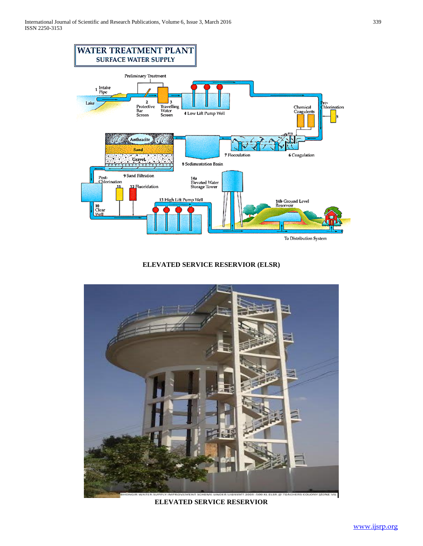

**ELEVATED SERVICE RESERVIOR (ELSR)**



**ELEVATED SERVICE RESERVIOR**